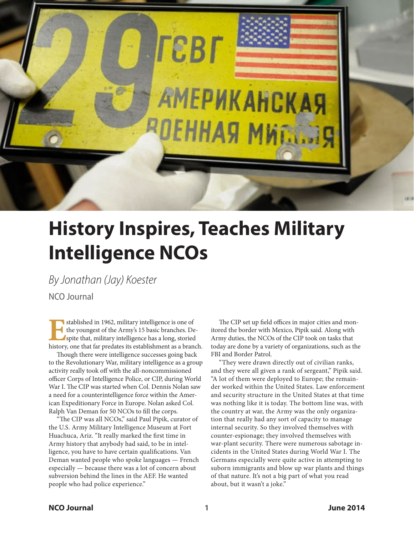

# **History Inspires, Teaches Military Intelligence NCOs**

*By Jonathan (Jay) Koester*

NCO Journal

**E**stablished in 1962, military intelligence is one of the youngest of the Army's 15 basic branches. Despite that, military intelligence has a long, storied history, one that far predates its establishment as a branch.

Though there were intelligence successes going back to the Revolutionary War, military intelligence as a group activity really took off with the all-noncommissioned officer Corps of Intelligence Police, or CIP, during World War I. The CIP was started when Col. Dennis Nolan saw a need for a counterintelligence force within the American Expeditionary Force in Europe. Nolan asked Col. Ralph Van Deman for 50 NCOs to fill the corps.

"The CIP was all NCOs," said Paul Pipik, curator of the U.S. Army Military Intelligence Museum at Fort Huachuca, Ariz. "It really marked the first time in Army history that anybody had said, to be in intelligence, you have to have certain qualifications. Van Deman wanted people who spoke languages — French especially — because there was a lot of concern about subversion behind the lines in the AEF. He wanted people who had police experience."

The CIP set up field offices in major cities and monitored the border with Mexico, Pipik said. Along with Army duties, the NCOs of the CIP took on tasks that today are done by a variety of organizations, such as the FBI and Border Patrol.

"They were drawn directly out of civilian ranks, and they were all given a rank of sergeant," Pipik said. "A lot of them were deployed to Europe; the remainder worked within the United States. Law enforcement and security structure in the United States at that time was nothing like it is today. The bottom line was, with the country at war, the Army was the only organization that really had any sort of capacity to manage internal security. So they involved themselves with counter-espionage; they involved themselves with war-plant security. There were numerous sabotage incidents in the United States during World War I. The Germans especially were quite active in attempting to suborn immigrants and blow up war plants and things of that nature. It's not a big part of what you read about, but it wasn't a joke."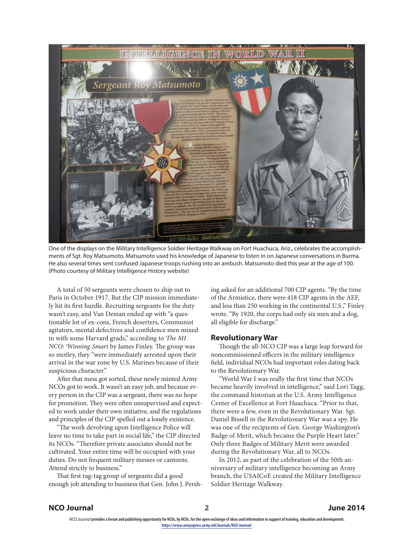

One of the displays on the Military Intelligence Soldier Heritage Walkway on Fort Huachuca, Ariz., celebrates the accomplishments of Sgt. Roy Matsumoto. Matsumoto used his knowledge of Japanese to listen in on Japanese conversations in Burma. He also several times sent confused Japanese troops rushing into an ambush. Matsumoto died this year at the age of 100. (Photo courtesy of Military Intelligence History website)

A total of 50 sergeants were chosen to ship out to Paris in October 1917. But the CIP mission immediately hit its first hurdle. Recruiting sergeants for the duty wasn't easy, and Van Deman ended up with "a questionable lot of ex-cons, French deserters, Communist agitators, mental defectives and confidence men mixed in with some Harvard grads," according to *The MI NCO: Winning Smart* by James Finley. The group was so motley, they "were immediately arrested upon their arrival in the war zone by U.S. Marines because of their suspicious character."

After that mess got sorted, these newly minted Army NCOs got to work. It wasn't an easy job, and because every person in the CIP was a sergeant, there was no hope for promotion. They were often unsupervised and expected to work under their own initiative, and the regulations and principles of the CIP spelled out a lonely existence.

"The work devolving upon Intelligence Police will leave no time to take part in social life," the CIP directed its NCOs. "Therefore private associates should not be cultivated. Your entire time will be occupied with your duties. Do not frequent military messes or canteens. Attend strictly to business."

That first rag-tag group of sergeants did a good enough job attending to business that Gen. John J. Pershing asked for an additional 700 CIP agents. "By the time of the Armistice, there were 418 CIP agents in the AEF, and less than 250 working in the continental U.S.," Finley wrote. "By 1920, the corps had only six men and a dog, all eligible for discharge."

### **Revolutionary War**

Though the all-NCO CIP was a large leap forward for noncommissioned officers in the military intelligence field, individual NCOs had important roles dating back to the Revolutionary War.

"World War I was really the first time that NCOs became heavily involved in intelligence," said Lori Tagg, the command historian at the U.S. Army Intelligence Center of Excellence at Fort Huachuca. "Prior to that, there were a few, even in the Revolutionary War. Sgt. Daniel Bissell in the Revolutionary War was a spy. He was one of the recipients of Gen. George Washington's Badge of Merit, which became the Purple Heart later." Only three Badges of Military Merit were awarded during the Revolutionary War, all to NCOs.

In 2012, as part of the celebration of the 50th anniversary of military intelligence becoming an Army branch, the USAICoE created the Military Intelligence Soldier Heritage Walkway.

# **NCO Journal 2 June 2014**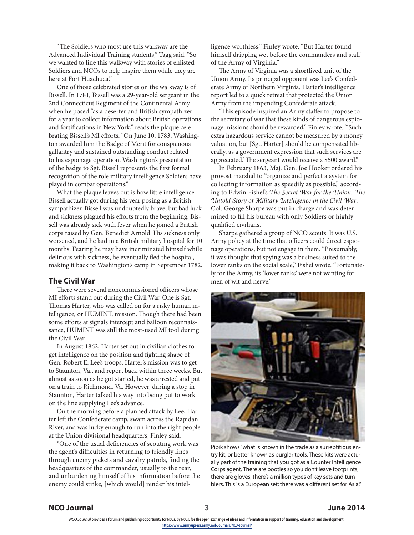"The Soldiers who most use this walkway are the Advanced Individual Training students," Tagg said. "So we wanted to line this walkway with stories of enlisted Soldiers and NCOs to help inspire them while they are here at Fort Huachuca."

One of those celebrated stories on the walkway is of Bissell. In 1781, Bissell was a 29-year-old sergeant in the 2nd Connecticut Regiment of the Continental Army when he posed "as a deserter and British sympathizer for a year to collect information about British operations and fortifications in New York," reads the plaque celebrating Bissell's MI efforts. "On June 10, 1783, Washington awarded him the Badge of Merit for conspicuous gallantry and sustained outstanding conduct related to his espionage operation. Washington's presentation of the badge to Sgt. Bissell represents the first formal recognition of the role military intelligence Soldiers have played in combat operations."

What the plaque leaves out is how little intelligence Bissell actually got during his year posing as a British sympathizer. Bissell was undoubtedly brave, but bad luck and sickness plagued his efforts from the beginning. Bissell was already sick with fever when he joined a British corps raised by Gen. Benedict Arnold. His sickness only worsened, and he laid in a British military hospital for 10 months. Fearing he may have incriminated himself while delirious with sickness, he eventually fled the hospital, making it back to Washington's camp in September 1782.

# **The Civil War**

There were several noncommissioned officers whose MI efforts stand out during the Civil War. One is Sgt. Thomas Harter, who was called on for a risky human intelligence, or HUMINT, mission. Though there had been some efforts at signals intercept and balloon reconnaissance, HUMINT was still the most-used MI tool during the Civil War.

In August 1862, Harter set out in civilian clothes to get intelligence on the position and fighting shape of Gen. Robert E. Lee's troops. Harter's mission was to get to Staunton, Va., and report back within three weeks. But almost as soon as he got started, he was arrested and put on a train to Richmond, Va. However, during a stop in Staunton, Harter talked his way into being put to work on the line supplying Lee's advance.

On the morning before a planned attack by Lee, Harter left the Confederate camp, swam across the Rapidan River, and was lucky enough to run into the right people at the Union divisional headquarters, Finley said.

"One of the usual deficiencies of scouting work was the agent's difficulties in returning to friendly lines through enemy pickets and cavalry patrols, finding the headquarters of the commander, usually to the rear, and unburdening himself of his information before the enemy could strike, [which would] render his intelligence worthless," Finley wrote. "But Harter found himself dripping wet before the commanders and staff of the Army of Virginia."

The Army of Virginia was a shortlived unit of the Union Army. Its principal opponent was Lee's Confederate Army of Northern Virginia. Harter's intelligence report led to a quick retreat that protected the Union Army from the impending Confederate attack.

"This episode inspired an Army staffer to propose to the secretary of war that these kinds of dangerous espionage missions should be rewarded," Finley wrote. "'Such extra hazardous service cannot be measured by a money valuation, but [Sgt. Harter] should be compensated liberally, as a government expression that such services are appreciated.' The sergeant would receive a \$500 award."

In February 1863, Maj. Gen. Joe Hooker ordered his provost marshal to "organize and perfect a system for collecting information as speedily as possible," according to Edwin Fishel's *The Secret War for the Union: The Untold Story of Military Intelligence in the Civil War*. Col. George Sharpe was put in charge and was determined to fill his bureau with only Soldiers or highly qualified civilians.

Sharpe gathered a group of NCO scouts. It was U.S. Army policy at the time that officers could direct espionage operations, but not engage in them. "Presumably, it was thought that spying was a business suited to the lower ranks on the social scale," Fishel wrote. "Fortunately for the Army, its 'lower ranks' were not wanting for men of wit and nerve."



Pipik shows "what is known in the trade as a surreptitious entry kit, or better known as burglar tools. These kits were actually part of the training that you got as a Counter Intelligence Corps agent. There are booties so you don't leave footprints, there are gloves, there's a million types of key sets and tumblers. This is a European set; there was a different set for Asia."

### **NCO Journal 3 June 2014**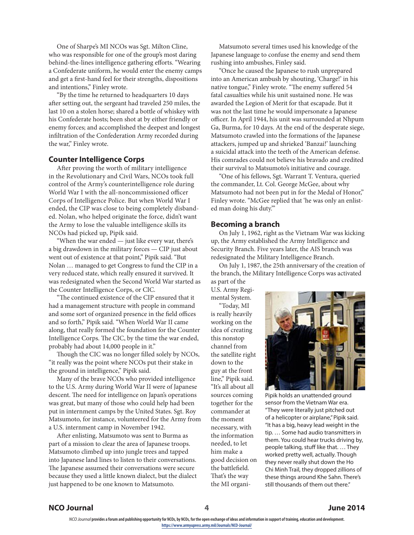One of Sharpe's MI NCOs was Sgt. Milton Cline, who was responsible for one of the group's most daring behind-the-lines intelligence gathering efforts. "Wearing a Confederate uniform, he would enter the enemy camps and get a first-hand feel for their strengths, dispositions and intentions," Finley wrote.

"By the time he returned to headquarters 10 days after setting out, the sergeant had traveled 250 miles, the last 10 on a stolen horse; shared a bottle of whiskey with his Confederate hosts; been shot at by either friendly or enemy forces; and accomplished the deepest and longest infiltration of the Confederation Army recorded during the war," Finley wrote.

# **Counter Intelligence Corps**

After proving the worth of military intelligence in the Revolutionary and Civil Wars, NCOs took full control of the Army's counterintelligence role during World War I with the all-noncommissioned officer Corps of Intelligence Police. But when World War I ended, the CIP was close to being completely disbanded. Nolan, who helped originate the force, didn't want the Army to lose the valuable intelligence skills its NCOs had picked up, Pipik said.

"When the war ended — just like every war, there's a big drawdown in the military forces — CIP just about went out of existence at that point," Pipik said. "But Nolan … managed to get Congress to fund the CIP in a very reduced state, which really ensured it survived. It was redesignated when the Second World War started as the Counter Intelligence Corps, or CIC.

"The continued existence of the CIP ensured that it had a management structure with people in command and some sort of organized presence in the field offices and so forth," Pipik said. "When World War II came along, that really formed the foundation for the Counter Intelligence Corps. The CIC, by the time the war ended, probably had about 14,000 people in it."

Though the CIC was no longer filled solely by NCOs, "it really was the point where NCOs put their stake in the ground in intelligence," Pipik said.

Many of the brave NCOs who provided intelligence to the U.S. Army during World War II were of Japanese descent. The need for intelligence on Japan's operations was great, but many of those who could help had been put in internment camps by the United States. Sgt. Roy Matsumoto, for instance, volunteered for the Army from a U.S. internment camp in November 1942.

After enlisting, Matsumoto was sent to Burma as part of a mission to clear the area of Japanese troops. Matsumoto climbed up into jungle trees and tapped into Japanese land lines to listen to their conversations. The Japanese assumed their conversations were secure because they used a little known dialect, but the dialect just happened to be one known to Matsumoto.

Matsumoto several times used his knowledge of the Japanese language to confuse the enemy and send them rushing into ambushes, Finley said.

"Once he caused the Japanese to rush unprepared into an American ambush by shouting, 'Charge!' in his native tongue," Finley wrote. "The enemy suffered 54 fatal casualties while his unit sustained none. He was awarded the Legion of Merit for that escapade. But it was not the last time he would impersonate a Japanese officer. In April 1944, his unit was surrounded at Nhpum Ga, Burma, for 10 days. At the end of the desperate siege, Matsumoto crawled into the formations of the Japanese attackers, jumped up and shrieked 'Banzai!' launching a suicidal attack into the teeth of the American defense. His comrades could not believe his bravado and credited their survival to Matsumoto's initiative and courage.

"One of his fellows, Sgt. Warrant T. Ventura, queried the commander, Lt. Col. George McGee, about why Matsumoto had not been put in for the Medal of Honor," Finley wrote. "McGee replied that 'he was only an enlisted man doing his duty.'"

# **Becoming a branch**

On July 1, 1962, right as the Vietnam War was kicking up, the Army established the Army Intelligence and Security Branch. Five years later, the AIS branch was redesignated the Military Intelligence Branch.

On July 1, 1987, the 25th anniversary of the creation of the branch, the Military Intelligence Corps was activated as part of the

U.S. Army Regimental System.

"Today, MI is really heavily working on the idea of creating this nonstop channel from the satellite right down to the guy at the front line," Pipik said. "It's all about all sources coming together for the commander at the moment necessary, with the information needed, to let him make a good decision on the battlefield. That's the way the MI organi-



Pipik holds an unattended ground sensor from the Vietnam War era. "They were literally just pitched out of a helicopter or airplane," Pipik said. "It has a big, heavy lead weight in the tip. … Some had audio transmitters in them. You could hear trucks driving by, people talking, stuff like that. … They worked pretty well, actually. Though they never really shut down the Ho Chi Minh Trail, they dropped zillions of these things around Khe Sahn. There's still thousands of them out there."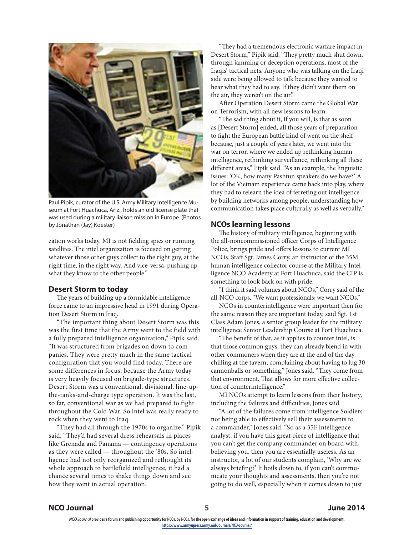

Paul Pipik, curator of the U.S. Army Military Intelligence Museum at Fort Huachuca, Ariz., holds an old license plate that was used during a military liaison mission in Europe. (Photos by Jonathan (Jay) Koester)

zation works today. MI is not fielding spies or running satellites. The intel organization is focused on getting whatever those other guys collect to the right guy, at the right time, in the right way. And vice-versa, pushing up what they know to the other people."

# **Desert Storm to today**

The years of building up a formidable intelligence force came to an impressive head in 1991 during Operation Desert Storm in Iraq.

"The important thing about Desert Storm was this was the first time that the Army went to the field with a fully prepared intelligence organization," Pipik said. "It was structured from brigades on down to companies. They were pretty much in the same tactical configuration that you would find today. There are some differences in focus, because the Army today is very heavily focused on brigade-type structures. Desert Storm was a conventional, divisional, line-upthe-tanks-and-charge type operation. It was the last, so far, conventional war as we had prepared to fight throughout the Cold War. So intel was really ready to rock when they went to Iraq.

"They had all through the 1970s to organize," Pipik said. "They'd had several dress rehearsals in places like Grenada and Panama — contingency operations as they were called — throughout the '80s. So intelligence had not only reorganized and rethought its whole approach to battlefield intelligence, it had a chance several times to shake things down and see how they went in actual operation.

"They had a tremendous electronic warfare impact in Desert Storm," Pipik said. "They pretty much shut down, through jamming or deception operations, most of the Iraqis' tactical nets. Anyone who was talking on the Iraqi side were being allowed to talk because they wanted to hear what they had to say. If they didn't want them on the air, they weren't on the air."

After Operation Desert Storm came the Global War on Terrorism, with all new lessons to learn.

"The sad thing about it, if you will, is that as soon as [Desert Storm] ended, all those years of preparation to fight the European battle kind of went on the shelf because, just a couple of years later, we went into the war on terror, where we ended up rethinking human intelligence, rethinking surveillance, rethinking all these different areas," Pipik said. "As an example, the linguistic issues: 'OK, how many Pashtun speakers do we have?' A lot of the Vietnam experience came back into play, where they had to relearn the idea of ferreting out intelligence by building networks among people, understanding how communication takes place culturally as well as verbally."

# **NCOs learning lessons**

The history of military intelligence, beginning with the all-noncommissioned officer Corps of Intelligence Police, brings pride and offers lessons to current MI NCOs. Staff Sgt. James Corry, an instructor of the 35M human intelligence collector course at the Military Intelligence NCO Academy at Fort Huachuca, said the CIP is something to look back on with pride.

"I think it said volumes about NCOs," Corry said of the all-NCO corps. "We want professionals; we want NCOs."

NCOs in counterintelligence were important then for the same reason they are important today, said Sgt. 1st Class Adam Jones, a senior group leader for the military intelligence Senior Leadership Course at Fort Huachuca.

"The benefit of that, as it applies to counter intel, is that those common guys, they can already blend in with other commoners when they are at the end of the day, chilling at the tavern, complaining about having to lug 30 cannonballs or something," Jones said. "They come from that environment. That allows for more effective collection of counterintelligence."

MI NCOs attempt to learn lessons from their history, including the failures and difficulties, Jones said.

"A lot of the failures come from intelligence Soldiers not being able to effectively sell their assessments to a commander," Jones said. "So as a 35F intelligence analyst, if you have this great piece of intelligence that you can't get the company commander on board with, believing you, then you are essentially useless. As an instructor, a lot of our students complain, 'Why are we always briefing?' It boils down to, if you can't communicate your thoughts and assessments, then you're not going to do well, especially when it comes down to just

## **NCO Journal 5 June 2014**